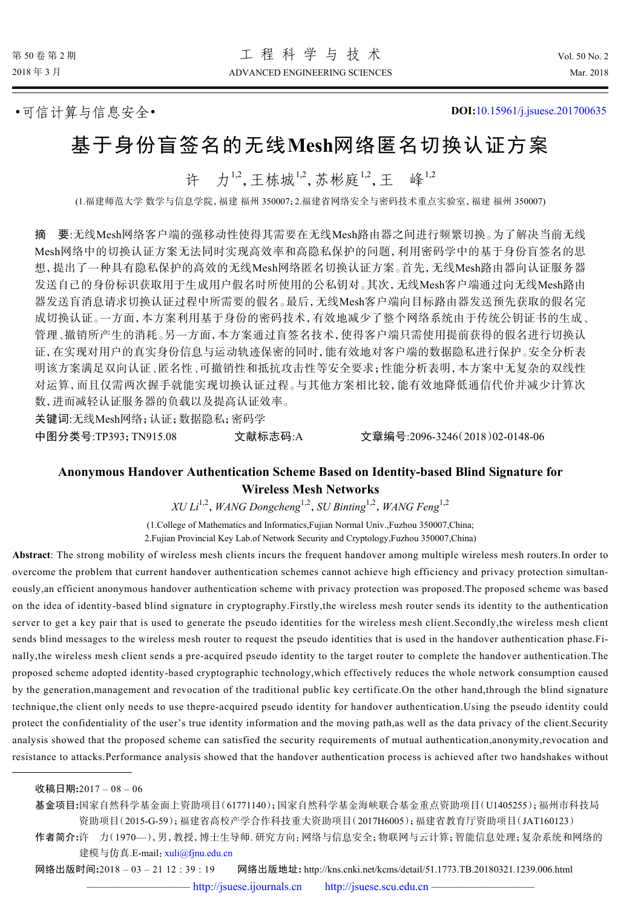•可信计算与信息安全• **DOI:**[10.15961/j.jsuese.201700635](http://dx.doi.org/10.15961/j.jsuese.201700635)

# 基于身份盲签名的无线**Mesh**网络匿名切换认证方案

许 力<sup>1,2</sup>,王栋城1,2,苏彬庭1,2,王 峰1,2

(1.福建师范大学 数学与信息学院,福建 福州 350007;2.福建省网络安全与密码技术重点实验室,福建 福州 350007)

摘 要:无线Mesh网络客户端的强移动性使得其需要在无线Mesh路由器之间进行频繁切换。为了解决当前无线 Mesh网络中的切换认证方案无法同时实现高效率和高隐私保护的问题,利用密码学中的基于身份盲签名的思 想,提出了一种具有隐私保护的高效的无线Mesh网络匿名切换认证方案。首先,无线Mesh路由器向认证服务器 发送自己的身份标识获取用于生成用户假名时所使用的公私钥对。其次,无线Mesh客户端通过向无线Mesh路由 器发送盲消息请求切换认证过程中所需要的假名。最后,无线Mesh客户端向目标路由器发送预先获取的假名完 成切换认证。一方面,本方案利用基于身份的密码技术,有效地减少了整个网络系统由于传统公钥证书的生成、 管理、撤销所产生的消耗。另一方面,本方案通过盲签名技术,使得客户端只需使用提前获得的假名进行切换认 证,在实现对用户的真实身份信息与运动轨迹保密的同时,能有效地对客户端的数据隐私进行保护。安全分析表 明该方案满足双向认证、匿名性、可撤销性和抵抗攻击性等安全要求;性能分析表明,本方案中无复杂的双线性 对运算,而且仅需两次握手就能实现切换认证过程。与其他方案相比较,能有效地降低通信代价并减少计算次 数,进而减轻认证服务器的负载以及提高认证效率。

关键词:无线Mesh网络;认证;数据隐私;密码学

中图分类号:TP393;TN915.08 文献标志码:A 文章编号:2096-3246(2018)02-0148-06

# **Anonymous Handover Authentication Scheme Based on Identity-based Blind Signature for Wireless Mesh Networks**

*XU Li*1,2 ,*WANG Dongcheng*1,2 ,*SU Binting*1,2 ,*WANG Feng*1,2

(1.College of Mathematics and Informatics,Fujian Normal Univ.,Fuzhou 350007,China;

2.Fujian Provincial Key Lab.of Network Security and Cryptology,Fuzhou 350007,China)

**Abstract**: The strong mobility of wireless mesh clients incurs the frequent handover among multiple wireless mesh routers.In order to overcome the problem that current handover authentication schemes cannot achieve high efficiency and privacy protection simultaneously,an efficient anonymous handover authentication scheme with privacy protection was proposed.The proposed scheme was based on the idea of identity-based blind signature in cryptography.Firstly,the wireless mesh router sends its identity to the authentication server to get a key pair that is used to generate the pseudo identities for the wireless mesh client.Secondly,the wireless mesh client sends blind messages to the wireless mesh router to request the pseudo identities that is used in the handover authentication phase.Finally,the wireless mesh client sends a pre-acquired pseudo identity to the target router to complete the handover authentication.The proposed scheme adopted identity-based cryptographic technology,which effectively reduces the whole network consumption caused by the generation,management and revocation of the traditional public key certificate.On the other hand,through the blind signature technique,the client only needs to use thepre-acquired pseudo identity for handover authentication.Using the pseudo identity could protect the confidentiality of the user's true identity information and the moving path,as well as the data privacy of the client.Security analysis showed that the proposed scheme can satisfied the security requirements of mutual authentication,anonymity,revocation and resistance to attacks.Performance analysis showed that the handover authentication process is achieved after two handshakes without

基金项目**:**国家自然科学基金面上资助项目(61771140);国家自然科学基金海峡联合基金重点资助项目(U1405255);福州市科技局 资助项目(2015-G-59);福建省高校产学合作科技重大资助项目(2017H6005);福建省教育厅资助项目(JAT160123)

作者简介**:**许 力(1970—),男,教授,博士生导师. 研究方向:网络与信息安全;物联网与云计算;智能信息处理;复杂系统和网络的 建模与仿真.E-mail: [xuli@fjnu.edu.cn](mailto:xuli@fjnu.edu.cn)

网络出版时间**:**2018 – 03 – 21 12 : 39 : 19 网络出版地址**:** http://kns.cnki.net/kcms/detail/51.1773.TB.20180321.1239.006.html

— <http://jsuese.ijournals.cn> <http://jsuese.scu.edu.cn> -

收稿日期**:**2017 – 08 – 06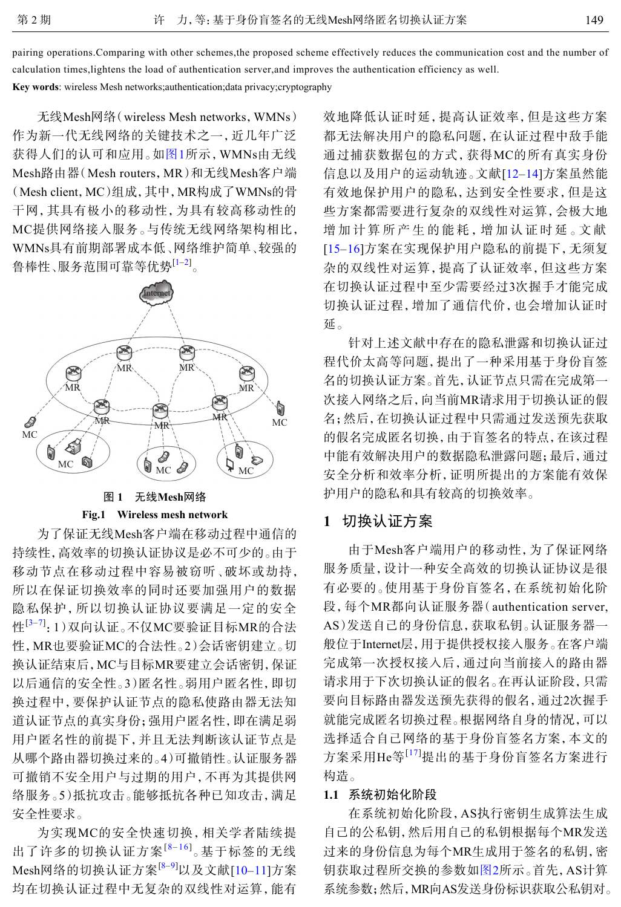pairing operations.Comparing with other schemes,the proposed scheme effectively reduces the communication cost and the number of calculation times,lightens the load of authentication server,and improves the authentication efficiency as well.

**Key words**: wireless Mesh networks;authentication;data privacy;cryptography

无线Mesh网络(wireless Mesh networks,WMNs) 作为新一代无线网络的关键技术之一,近几年广泛 获得人们的认可和应用。如[图](#page-1-0)[1](#page-1-0)所示,WMNs由无线 Mesh路由器(Mesh routers,MR)和无线Mesh客户端 (Mesh client,MC)组成,其中,MR构成了WMNs的骨 干网,其具有极小的移动性,为具有较高移动性的 MC提供网络接入服务。与传统无线网络架构相比, WMNs具有前期部署成本低、网络维护简单、较强的 鲁棒性、服务范围可靠等优势[[1](#page-4-0)–[2](#page-4-1)] 。

<span id="page-1-0"></span>

## 图 **1** 无线**Mesh**网络

## **Fig.1 Wireless mesh network**

为了保证无线Mesh客户端在移动过程中通信的 持续性,高效率的切换认证协议是必不可少的。由于 移动节点在移动过程中容易被窃听、破坏或劫持, 所以在保证切换效率的同时还要加强用户的数据 隐私保护,所以切换认证协议要满足一定的安全 性<sup>[3-[7](#page-5-0)]</sup>:1)双向认证。不仅MC要验证目标MR的合法 性,MR也要验证MC的合法性。2)会话密钥建立。切 换认证结束后,MC与目标MR要建立会话密钥,保证 以后通信的安全性。3)匿名性。弱用户匿名性,即切 换过程中,要保护认证节点的隐私使路由器无法知 道认证节点的真实身份;强用户匿名性,即在满足弱 用户匿名性的前提下,并且无法判断该认证节点是 从哪个路由器切换过来的。4)可撤销性。认证服务器 可撤销不安全用户与过期的用户,不再为其提供网 络服务。5)抵抗攻击。能够抵抗各种已知攻击,满足 安全性要求。

为实现MC的安全快速切换,相关学者陆续提 出了许多的切换认证方案<sup>[[8](#page-5-1)-[16](#page-5-2)]</sup>。基于标签的无线 Mesh网络的切换认证方案<sup>[\[8–](#page-5-1)[9\]](#page-5-3)</sup>以及文献[[10–](#page-5-4)[11\]](#page-5-5)方案 均在切换认证过程中无复杂的双线性对运算,能有 效地降低认证时延,提高认证效率,但是这些方案 都无法解决用户的隐私问题,在认证过程中敌手能 通过捕获数据包的方式,获得MC的所有真实身份 信息以及用户的运动轨迹。文献[[12](#page-5-6)–[14](#page-5-7)]方案虽然能 有效地保护用户的隐私,达到安全性要求,但是这 些方案都需要进行复杂的双线性对运算,会极大地 增加计算所产生的能耗,增加认证时延。文献 [[15](#page-5-8)–[16\]](#page-5-2)方案在实现保护用户隐私的前提下,无须复 杂的双线性对运算,提高了认证效率,但这些方案 在切换认证过程中至少需要经过3次握手才能完成 切换认证过程,增加了通信代价,也会增加认证时 延。

针对上述文献中存在的隐私泄露和切换认证过 程代价太高等问题,提出了一种采用基于身份盲签 名的切换认证方案。首先,认证节点只需在完成第一 次接入网络之后,向当前MR请求用于切换认证的假 名;然后,在切换认证过程中只需通过发送预先获取 的假名完成匿名切换,由于盲签名的特点,在该过程 中能有效解决用户的数据隐私泄露问题;最后,通过 安全分析和效率分析,证明所提出的方案能有效保 护用户的隐私和具有较高的切换效率。

# **1** 切换认证方案

由于Mesh客户端用户的移动性,为了保证网络 服务质量,设计一种安全高效的切换认证协议是很 有必要的。使用基于身份盲签名,在系统初始化阶 段,每个MR都向认证服务器(authentication server, AS)发送自己的身份信息,获取私钥。认证服务器一 般位于Internet层,用于提供授权接入服务。在客户端 完成第一次授权接入后,通过向当前接入的路由器 请求用于下次切换认证的假名。在再认证阶段,只需 要向目标路由器发送预先获得的假名,通过2次握手 就能完成匿名切换过程。根据网络自身的情况,可以 选择适合自己[网络](#page-5-9)的基于身份盲签名方案,本文的 方案采用He等[[17](#page-5-9)]提出的基于身份盲签名方案进行 构造。

### **1.1** 系统初始化阶段

在系统初始化阶段,AS执行密钥生成算法生成 自己的公私钥,然后用自己的私钥根据每个MR发送 过来的身份信息为每个MR[生成用](#page-2-0)于签名的私钥,密 钥获取过程所交换的参数如[图](#page-2-0)[2](#page-2-0)所示。首先, AS计算 系统参数;然后,MR向AS发送身份标识获取公私钥对。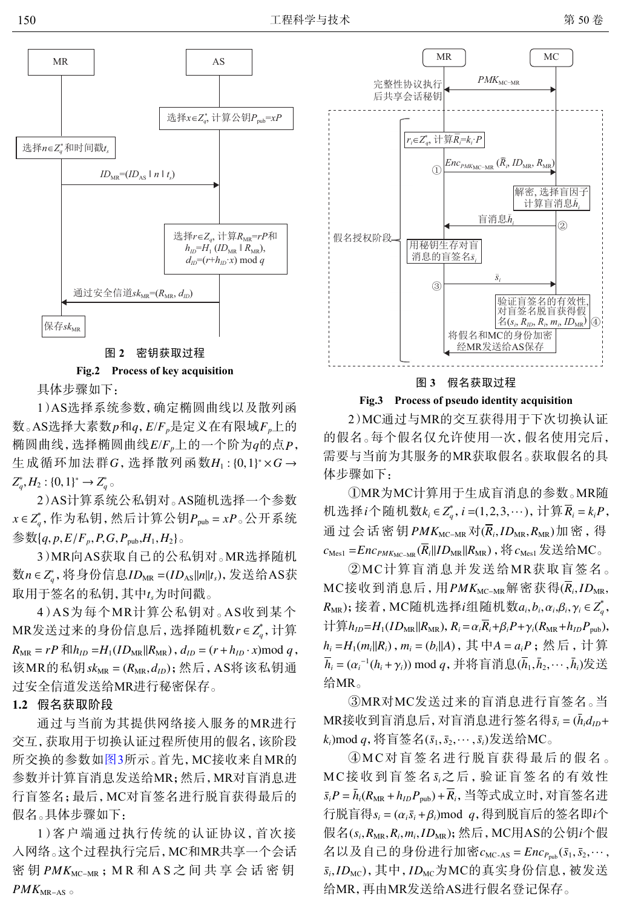<span id="page-2-0"></span>

#### **Fig.2 Process of key acquisition**

具体步骤如下:

数。AS选择大素数 $p$ 和 $q$ ,  $E$ / $F_p$ 是定义在有限域 $F_p$ 上的  $m_{\bar{p}}$  / <u>A</u> · 选择椭圆曲线  $E/F_p$ 上的一个阶为  $q$ 的点  $P$  , 生成循环加法群 $G$ ,选择散列函数 $H_1$ :{0,1}\*× $G$ →  $Z_q^*$ ,  $H_2$ : {0, 1}<sup>\*</sup> →  $Z_q^*$  。 1)AS选择系统参数,确定椭圆曲线以及散列函

 $x$ ∈Z<sup>\*</sup>,作为私钥,然后计算公钥 $P_{\text{pub}} = xP$ <sub>○</sub>公开系统 参数 $\{q, p, E/F_p, P, G, P_{\text{pub}}, H_1, H_2\}$ 。 2)AS计算系统公私钥对。AS随机选择一个参数

数 $n$  ∈  $Z_q^*$ , 将身份信息 $ID_{MR} = (ID_{AS} || n || t_s)$ , 发送给AS获 取用于签名的私钥,其中*t*,为时间戳。 3)MR向AS获取自己的公私钥对。MR选择随机

MR发送过来的身份信息后,选择随机数r∈Z<sup>\*</sup>,计算  $R_{MR} = rP \text{ } \bar{\text{H}} \text{ } h_{ID} = H_1 (ID_{MR} || R_{MR}), d_{ID} = (r + h_{ID} \cdot x) \text{ mod } q,$ 该MR的私钥 $_{s}$ k<sub>MR</sub> = ( $R_{\text{MR}},d_{\text{ID}}$ ); 然后, AS将该私钥通 4)AS为每个MR计算公私钥对。AS收到某个 过安全信道发送给MR进行秘密保存。

#### **1.2** 假名获取阶段

通过与当前为其提供网络接入服务的MR进行 交互,获取用于切换认证过程所使用的假名,该阶段 所交换的参数如[图](#page-2-1)[3](#page-2-1)所示。首先,MC接收来自MR的 参数并计算盲消息发送给MR;然后,MR对盲消息进 行盲签名;最后,MC对盲签名进行脱盲获得最后的 假名。具体步骤如下:

密 钥 *PMK*<sub>MC−MR</sub> ; M R 和 A S 之 间 共 享 会 话 密 钥  $PMK_{\mathrm{MR-AS}}$  。 1)客户端通过执行传统的认证协议,首次接 入网络。这个过程执行完后,MC和MR共享一个会话

<span id="page-2-1"></span>

**Fig.3 Process of pseudo identity acquisition**

2)MC通过与MR的交互获得用于下次切换认证 的假名。每个假名仅允许使用一次,假名使用完后, 需要与当前为其服务的MR获取假名。获取假名的具 体步骤如下:

*i*  $\overline{R}$  *i*  $\uparrow$   $\uparrow$  随机数  $k_i$  ∈  $Z_q^*$ , *i* =(1,2,3,…), 计算  $\overline{R}$ <sub>*i*</sub> =  $k_i$ *P*, 通过会话密钥 *PMK*<sub>MC−MR</sub> 对(*R<sub>i</sub>,ID<sub>MR</sub>,R<sub>MR</sub>)*加密,得  $c_{\text{Mes1}}$  = $Enc_{PMK_{\text{MC}-\text{MR}}}(\overline{R}_i || ID_{\text{MR}} || R_{\text{MR}})$  , 将  $c_{\text{Mes1}}$  发送给MC 。 ①MR为MC计算用于生成盲消息的参数。MR随

MC接收到消息后,用 $\mathit{PMK}_{\text{MC-MR}}$ 解密获得(R<sub>i</sub>,ID<sub>MR</sub>,  $R_{MR}$ ); 接着, MC随机选择*i*组随机数 $a_i, b_i, \alpha_i, \beta_i, \gamma_i \in Z_q^*,$  $\partial f$   $\hat{H}$   $\hat{H}_{ID} = H_1 (ID_{MR} || R_{MR}), R_i = \alpha_i \overline{R}_i + \beta_i P + \gamma_i (R_{MR} + h_{ID} P_{pub}),$  $h_i = H_1(m_i || R_i)$ ,  $m_i = (b_i || A)$ , 其中 $A = a_i P$ ; 然后, 计算  $\overline{h}_i$  = ( $\alpha_i$ <sup>-1</sup>( $h_i$ + $\gamma_i$ )) mod  $q$ , 并将盲消息( $\overline{h}_1, \overline{h}_2, \cdots, \overline{h}_i$ )发送 ②MC计算盲消息并发送给MR获取盲签名。 给MR。

 $MR接收到盲消息后,对盲消息进行签名得 $\bar{s}_i = (\bar{h}_i d_{ID} +$$  $k_i$ )mod  $q$ , 将盲签名( $\bar{s}_1, \bar{s}_2, \cdots, \bar{s}_i$ )发送给MC。 ③MR对MC发送过来的盲消息进行盲签名。当

 $MC接收到盲签名  $\bar{s}_i$ 之后,验证盲签名的有效性$  $\bar{s}_i$ *P* =  $\bar{h}_i$ ( $R_{MR}$  +  $h_{ID}P_{pub}$ ) +  $\overline{R}_i$ , 当等式成立时, 对盲签名进 行脱盲得 $s_i$  = ( $\alpha_i$  $\bar{s}_i$  +β $_i$ )mod  $q$  , 得到脱盲后的签名即 $i$ 个 假名(*s<sub>i</sub>,R<sub>MR</sub>,R<sub>i</sub>,m<sub>i</sub>,ID<sub>MR</sub>); 然后,MC用AS的公钥i个假* 名以及自己的身份进行加密 $c_{\text{MC-AS}} = \textit{Enc}_{\textit{P}_{\text{pub}}}(\bar{s}_1, \bar{s}_2, \cdots,$  $\bar{s}_i$ ,*ID*<sub>MC</sub>), 其中, *ID*<sub>MC</sub>为MC的真实身份信息, 被发送 ④M C对盲签名进行脱盲获得最后的假名。 给MR,再由MR发送给AS进行假名登记保存。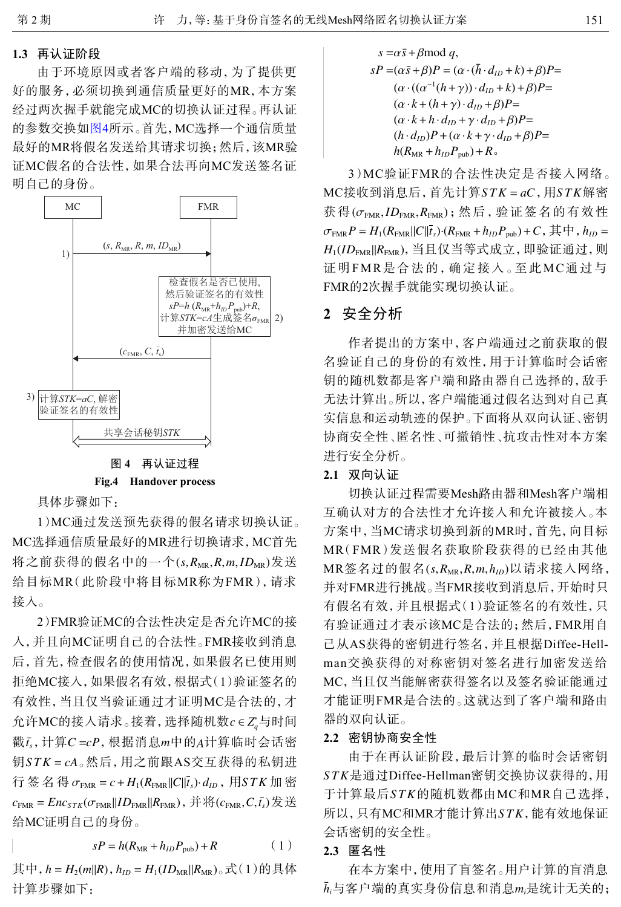#### **1.3** 再认证阶段

由于环境原因或者客户端的移动,为了提供更 好的服务,必须切换到通信质量更好的MR,本方案 经过两次握手就能完成MC的切换认证过程。再认证 的参数交换[如图](#page-3-0)[4](#page-3-0)所示。首先,MC选择一个通信质量 最好的MR将假名发送给其请求切换;然后,该MR验 证MC假名的合法性,如果合法再向MC发送签名证 明自己的身份。

<span id="page-3-0"></span>

具体步骤如下:

将之前获得的假名中的一个(*s,R<sub>MR</sub>,R,m,ID<sub>MR</sub>)*发送 1)MC通过发送预先获得的假名请求切换认证。 MC选择通信质量最好的MR进行切换请求,MC首先 给目标MR(此阶段中将目标MR称为FMR),请求 接入。

允许MC的接入请求。接着,选择随机数 $c$  ∈  $Z_q^*$ 与时间  $\mathbb{E}$  $\bar{t}$ , 计算C =cP, 根据消息m中的A计算临时会话密 *S T K* = *cA*钥 。然后,用之前跟AS交互获得的私钥进 行签名得 $\sigma_{\text{\tiny{FMR}}}$  =  $c$  +  $H_{\text{\tiny{I}}}(R_{\text{\tiny{FMR}}}\|C\|{\bar{t}}_s) \cdot d_{\text{\tiny{ID}}}$  , 用STK 加 密  $c_{\text{FMR}} = Enc_{STK}(\sigma_{\text{FMR}} || ID_{\text{FMR}} || R_{\text{FMR}}), \# \mathcal{B}(c_{\text{FMR}}, C, \bar{t}_s)$ 发送 2)FMR验证MC的合法性决定是否允许MC的接 入,并且向MC证明自己的合法性。FMR接收到消息 后,首先,检查假名的使用情况,如果假名已使用则 拒绝MC接入,如果假名有效,根据式(1)验证签名的 有效性,当且仅当验证通过才证明MC是合法的,才 给MC证明自己的身份。

$$
sP = h(R_{MR} + h_{ID}P_{pub}) + R \tag{1}
$$

其中,  $h = H_2(m||R)$ ,  $h_{ID} = H_1(ID_{MR}||R_{MR})$ 。式(1)的具体 计算步骤如下:

$$
s = \alpha \bar{s} + \beta \mod q,
$$
  
\n
$$
sP = (\alpha \bar{s} + \beta)P = (\alpha \cdot (\bar{h} \cdot d_{ID} + k) + \beta)P =
$$
  
\n
$$
(\alpha \cdot ((\alpha^{-1}(h + \gamma)) \cdot d_{ID} + k) + \beta)P =
$$
  
\n
$$
(\alpha \cdot k + (h + \gamma) \cdot d_{ID} + \beta)P =
$$
  
\n
$$
(\alpha \cdot k + h \cdot d_{ID} + \gamma \cdot d_{ID} + \beta)P =
$$
  
\n
$$
(h \cdot d_{ID})P + (\alpha \cdot k + \gamma \cdot d_{ID} + \beta)P =
$$
  
\n
$$
h(R_{MR} + h_{ID}P_{pub}) + R
$$

*M*C接收到消息后, 首先计算*STK* = *aC* , 用*STK* 解密 获得( $\sigma_\text{\tiny FMR},$ ID<sub>FMR</sub>,R<sub>FMR</sub>);然后,验证签名的有效性  $\sigma_{FMR}P = H_1(R_{FMR}||C||\bar{t}_s) \cdot (R_{FMR} + h_{ID}P_{pub}) + C$ ,  $\frac{1}{\sqrt{2}}$   $\dot{\mathbb{H}}$ ,  $h_{ID} =$  $H_{\text{I}}(ID_{\text{FMR}}|\mathcal{R}_{\text{FMR}})$ , 当且仅当等式成立, 即验证通过, 则 3)MC验证FMR的合法性决定是否接入网络。 证明FMR是合法的,确定接入。至此MC通过与 FMR的2次握手就能实现切换认证。

# **2** 安全分析

作者提出的方案中,客户端通过之前获取的假 名验证自己的身份的有效性,用于计算临时会话密 钥的随机数都是客户端和路由器自己选择的,敌手 无法计算出。所以,客户端能通过假名达到对自己真 实信息和运动轨迹的保护。下面将从双向认证、密钥 协商安全性、匿名性、可撤销性、抗攻击性对本方案 进行安全分析。

## **2.1** 双向认证

 $MR签名过的假名(s, $R_{MR}, R, m, h_{ID}$ )以请求接入网络,$ 切换认证过程需要Mesh路由器和Mesh客户端相 互确认对方的合法性才允许接入和允许被接入。本 方案中,当MC请求切换到新的MR时,首先,向目标 MR(FMR)发送假名获取阶段获得的已经由其他 并对FMR进行挑战。当FMR接收到消息后,开始时只 有假名有效,并且根据式(1)验证签名的有效性,只 有验证通过才表示该MC是合法的;然后,FMR用自 己从AS获得的密钥进行签名,并且根据Diffee-Hellman交换获得的对称密钥对签名进行加密发送给 MC,当且仅当能解密获得签名以及签名验证能通过 才能证明FMR是合法的。这就达到了客户端和路由 器的双向认证。

### **2.2** 密钥协商安全性

*S T K* 是通过Diffee-Hellman密钥交换协议获得的,用 *S T K* 于计算最后 的随机数都由MC和MR自己选择, 所以, 只有MC和MR才能计算出*STK*, 能有效地保证 由于在再认证阶段,最后计算的临时会话密钥 会话密钥的安全性。

# **2.3** 匿名性

 $\bar{h}_i$ 与客户端的真实身份信息和消息 m<sub>i</sub>是统计无关的; 在本方案中,使用了盲签名。用户计算的盲消息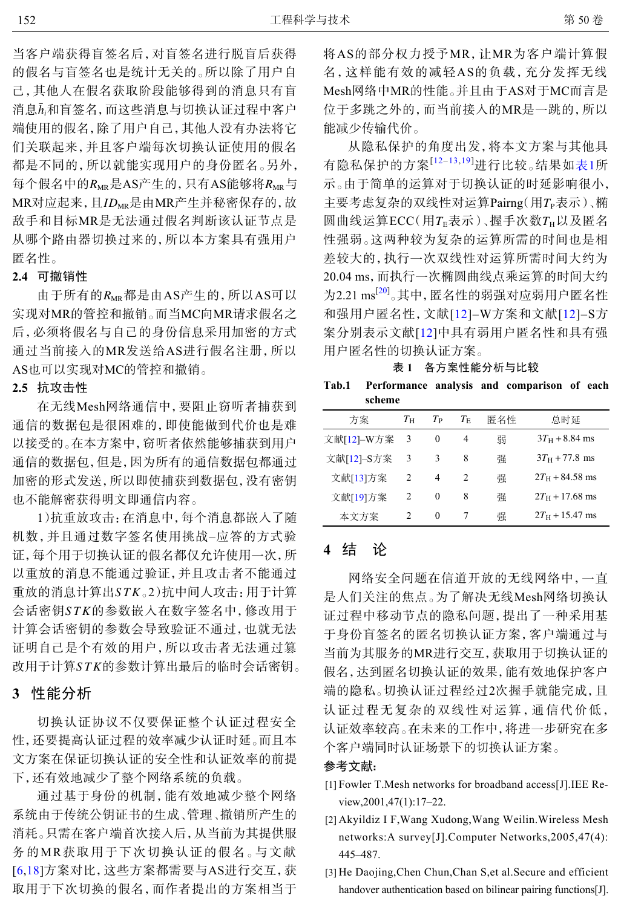消息 h<sub>i</sub>和盲签名, 而这些消息与切换认证过程中客户 每个假名中的 $R_{\text{\tiny MR}}$ 是AS产生的,只有AS能够将 $R_{\text{\tiny MR}}$ 与  $MR对应起来,且 $ID_{MR}$ 是由 $MR$ 产生并秘密保存的,故$ 当客户端获得盲签名后,对盲签名进行脱盲后获得 的假名与盲签名也是统计无关的。所以除了用户自 己,其他人在假名获取阶段能够得到的消息只有盲 端使用的假名,除了用户自己,其他人没有办法将它 们关联起来,并且客户端每次切换认证使用的假名 都是不同的,所以就能实现用户的身份匿名。另外, 敌手和目标MR是无法通过假名判断该认证节点是 从哪个路由器切换过来的,所以本方案具有强用户 匿名性。

# **2.4** 可撤销性

由于所有的 $R_{\text{MR}}$ 都是由AS产生的, 所以AS可以 实现对MR的管控和撤销。而当MC向MR请求假名之 后,必须将假名与自己的身份信息采用加密的方式 通过当前接入的MR发送给AS进行假名注册,所以 AS也可以实现对MC的管控和撤销。

#### **2.5** 抗攻击性

在无线Mesh网络通信中,要阻止窃听者捕获到 通信的数据包是很困难的,即使能做到代价也是难 以接受的。在本方案中,窃听者依然能够捕获到用户 通信的数据包,但是,因为所有的通信数据包都通过 加密的形式发送,所以即使捕获到数据包,没有密钥 也不能解密获得明文即通信内容。

*S T K* 重放的消息计算出 。2)抗中间人攻击:用于计算 *STK*的<br>密钥的<br>是个有<br>算*STK* 1)抗重放攻击:在消息中,每个消息都嵌入了随 机数,并且通过数字签名使用挑战–应答的方式验 证,每个用于切换认证的假名都仅允许使用一次,所 以重放的消息不能通过验证,并且攻击者不能通过 会话密钥STK的参数嵌入在数字签名中,修改用于 计算会话密钥的参数会导致验证不通过,也就无法 证明自己是个有效的用户,所以攻击者无法通过篡 改用于计算STK的参数计算出最后的临时会话密钥。

# **3** 性能分析

切换认证协议不仅要保证整个认证过程安全 性,还要提高认证过程的效率减少认证时延。而且本 文方案在保证切换认证的安全性和认证效率的前提 下,还有效地减少了整个网络系统的负载。

通过基于身份的机制,能有效地减少整个网络 系统由于传统公钥证书的生成、管理、撤销所产生的 消耗。只需在客户端首次接入后,从当前为其提供服 务的MR获取用于下次切换认证的假名。与文献 [[6,](#page-5-10)[18](#page-5-11)]方案对比,这些方案都需要与AS进行交互,获 取用于下次切换的假名,而作者提出的方案相当于 将AS的部分权力授予MR,让MR为客户端计算假 名,这样能有效的减轻AS的负载,充分发挥无线 Mesh网络中MR的性能。并且由于AS对于MC而言是 位于多跳之外的,而当前接入的MR是一跳的,所以 能减少传输代价。

主要考虑复杂的双线性对运算Pairng(用 $T_{\text{P}}$ 表示 )、椭 圆曲线运算ECC(用 $T_{\rm E}$ 表示)、握手次数 $T_{\rm H}$ 以及匿名 从隐私保护的角度出发,将本文方案与其他具 有隐私保护的方案<sup>[[12](#page-5-6)–[13](#page-5-12),[19](#page-5-13)]</sup>进行比较。结果如表1所 示。由于简单的运算对于切换认证的时延影响很小, 性强弱。这两种较为复杂的运算所需的时间也是相 差较大的,执行一次双线性对运算所需时间大约为 20.04 ms,而执行一次椭圆曲线点乘运算的时间大约 为2.21 ms[[20\]](#page-5-14)。其中, 匿名性的弱强对应弱用户匿名性 和强用户匿名性,文献[[12\]](#page-5-6)–W方案和文献[[12](#page-5-6)]–S方 案分别表示文献[\[12\]](#page-5-6)中具有弱用户匿名性和具有强 用户匿名性的切换认证方案。

## 表 **1** 各方案性能分析与比较

**Tab.1 Performance analysis and comparison of each scheme**

| 方案         | $T_{\rm H}$    | $T_{\rm P}$ | $T_{\rm E}$ | 屠名性 | 总时延               |
|------------|----------------|-------------|-------------|-----|-------------------|
| 文献[12]-W方案 | - 3            | 0           | 4           | 弱   | $3T_H + 8.84$ ms  |
| 文献[12]-S方案 | 3              | 3           | 8           | 强   | $3T_H + 77.8$ ms  |
| 文献[13]方案   | 2              | 4           | 2           | 强   | $2T_H + 84.58$ ms |
| 文献[19]方案   | $\mathfrak{D}$ | $\theta$    | 8           | 强   | $2T_H + 17.68$ ms |
| 本文方案       | $\mathcal{L}$  | 0           |             | 强   | $2T_H + 15.47$ ms |

# **4** 结 论

网络安全问题在信道开放的无线网络中,一直 是人们关注的焦点。为了解决无线Mesh网络切换认 证过程中移动节点的隐私问题,提出了一种采用基 于身份盲签名的匿名切换认证方案,客户端通过与 当前为其服务的MR进行交互,获取用于切换认证的 假名,达到匿名切换认证的效果,能有效地保护客户 端的隐私。切换认证过程经过2次握手就能完成,且 认证过程无复杂的双线性对运算,通信代价低, 认证效率较高。在未来的工作中,将进一步研究在多 个客户端同时认证场景下的切换认证方案。

### 参考文献:

- <span id="page-4-0"></span>[1] Fowler T. Mesh networks for broadband access[J].IEE Review,2001,47(1):17–22.
- <span id="page-4-1"></span>Akyildiz I F,Wang Xudong,Wang Weilin.Wireless Mesh [2] networks:A survey[J].Computer Networks,2005,47(4): 445–487.
- <span id="page-4-2"></span>[3] He Daojing, Chen Chun, Chan S, et al. Secure and efficient handover authentication based on bilinear pairing functions[J].